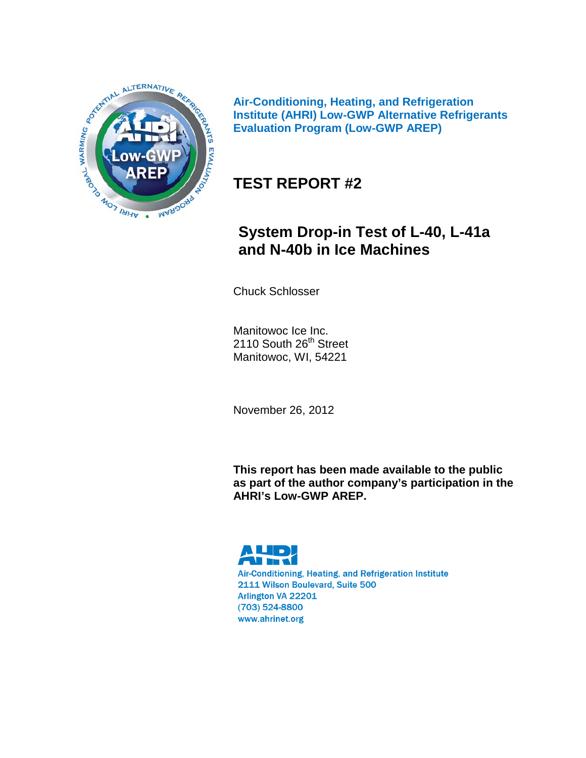

**Air-Conditioning, Heating, and Refrigeration Institute (AHRI) Low-GWP Alternative Refrigerants Evaluation Program (Low-GWP AREP)**

## **TEST REPORT #2**

# **System Drop-in Test of L-40, L-41a and N-40b in Ice Machines**

Chuck Schlosser

Manitowoc Ice Inc. 2110 South 26<sup>th</sup> Street Manitowoc, WI, 54221

November 26, 2012

**This report has been made available to the public as part of the author company's participation in the AHRI's Low-GWP AREP.**



Air-Conditioning, Heating, and Refrigeration Institute 2111 Wilson Boulevard, Suite 500 Arlington VA 22201 (703) 524-8800 www.ahrinet.org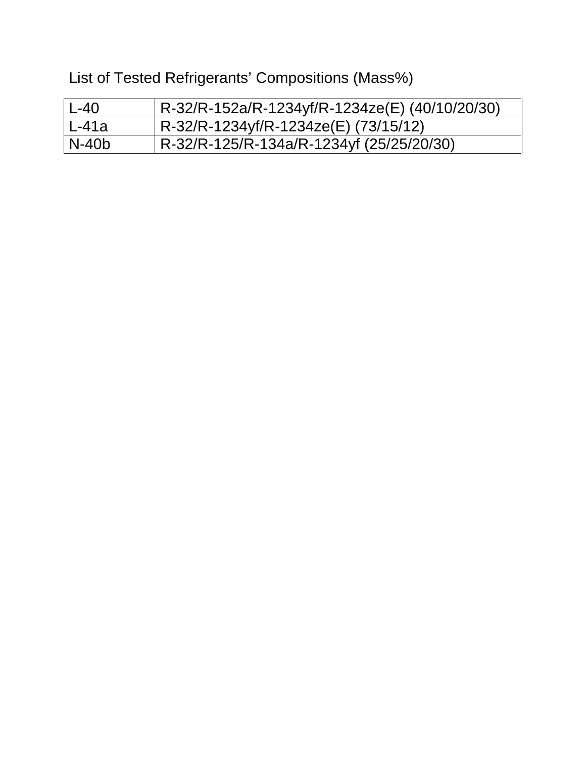List of Tested Refrigerants' Compositions (Mass%)

| $L-40$  | R-32/R-152a/R-1234yf/R-1234ze(E) (40/10/20/30) |
|---------|------------------------------------------------|
| l L-41a | R-32/R-1234yf/R-1234ze(E) (73/15/12)           |
| l N-40b | R-32/R-125/R-134a/R-1234yf (25/25/20/30)       |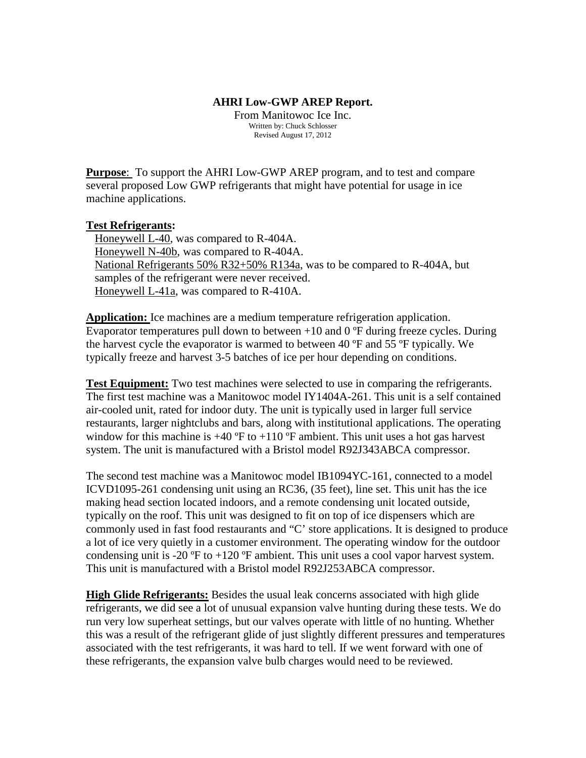#### **AHRI Low-GWP AREP Report.**

From Manitowoc Ice Inc. Written by: Chuck Schlosser Revised August 17, 2012

**Purpose**: To support the AHRI Low-GWP AREP program, and to test and compare several proposed Low GWP refrigerants that might have potential for usage in ice machine applications.

#### **Test Refrigerants:**

 Honeywell L-40, was compared to R-404A. Honeywell N-40b, was compared to R-404A. National Refrigerants 50% R32+50% R134a, was to be compared to R-404A, but samples of the refrigerant were never received. Honeywell L-41a, was compared to R-410A.

**Application:** Ice machines are a medium temperature refrigeration application. Evaporator temperatures pull down to between  $+10$  and  $0$  °F during freeze cycles. During the harvest cycle the evaporator is warmed to between 40 ºF and 55 ºF typically. We typically freeze and harvest 3-5 batches of ice per hour depending on conditions.

**Test Equipment:** Two test machines were selected to use in comparing the refrigerants. The first test machine was a Manitowoc model IY1404A-261. This unit is a self contained air-cooled unit, rated for indoor duty. The unit is typically used in larger full service restaurants, larger nightclubs and bars, along with institutional applications. The operating window for this machine is  $+40$  °F to  $+110$  °F ambient. This unit uses a hot gas harvest system. The unit is manufactured with a Bristol model R92J343ABCA compressor.

The second test machine was a Manitowoc model IB1094YC-161, connected to a model ICVD1095-261 condensing unit using an RC36, (35 feet), line set. This unit has the ice making head section located indoors, and a remote condensing unit located outside, typically on the roof. This unit was designed to fit on top of ice dispensers which are commonly used in fast food restaurants and "C' store applications. It is designed to produce a lot of ice very quietly in a customer environment. The operating window for the outdoor condensing unit is -20  $\textdegree$ F to +120  $\textdegree$ F ambient. This unit uses a cool vapor harvest system. This unit is manufactured with a Bristol model R92J253ABCA compressor.

**High Glide Refrigerants:** Besides the usual leak concerns associated with high glide refrigerants, we did see a lot of unusual expansion valve hunting during these tests. We do run very low superheat settings, but our valves operate with little of no hunting. Whether this was a result of the refrigerant glide of just slightly different pressures and temperatures associated with the test refrigerants, it was hard to tell. If we went forward with one of these refrigerants, the expansion valve bulb charges would need to be reviewed.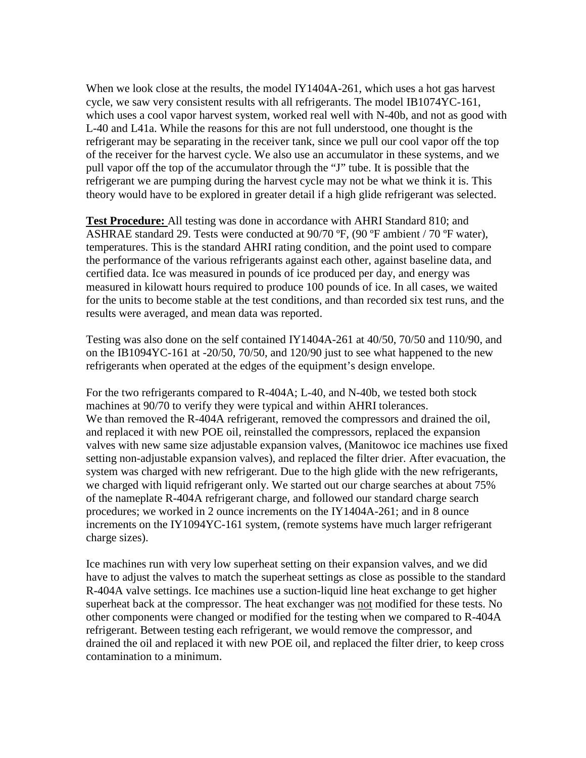When we look close at the results, the model IY1404A-261, which uses a hot gas harvest cycle, we saw very consistent results with all refrigerants. The model IB1074YC-161, which uses a cool vapor harvest system, worked real well with N-40b, and not as good with L-40 and L41a. While the reasons for this are not full understood, one thought is the refrigerant may be separating in the receiver tank, since we pull our cool vapor off the top of the receiver for the harvest cycle. We also use an accumulator in these systems, and we pull vapor off the top of the accumulator through the "J" tube. It is possible that the refrigerant we are pumping during the harvest cycle may not be what we think it is. This theory would have to be explored in greater detail if a high glide refrigerant was selected.

**Test Procedure:** All testing was done in accordance with AHRI Standard 810; and ASHRAE standard 29. Tests were conducted at 90/70 ºF, (90 ºF ambient / 70 ºF water), temperatures. This is the standard AHRI rating condition, and the point used to compare the performance of the various refrigerants against each other, against baseline data, and certified data. Ice was measured in pounds of ice produced per day, and energy was measured in kilowatt hours required to produce 100 pounds of ice. In all cases, we waited for the units to become stable at the test conditions, and than recorded six test runs, and the results were averaged, and mean data was reported.

Testing was also done on the self contained IY1404A-261 at  $40/50$ ,  $70/50$  and  $110/90$ , and on the IB1094YC-161 at -20/50, 70/50, and 120/90 just to see what happened to the new refrigerants when operated at the edges of the equipment's design envelope.

For the two refrigerants compared to R-404A; L-40, and N-40b, we tested both stock machines at 90/70 to verify they were typical and within AHRI tolerances. We than removed the R-404A refrigerant, removed the compressors and drained the oil, and replaced it with new POE oil, reinstalled the compressors, replaced the expansion valves with new same size adjustable expansion valves, (Manitowoc ice machines use fixed setting non-adjustable expansion valves), and replaced the filter drier. After evacuation, the system was charged with new refrigerant. Due to the high glide with the new refrigerants, we charged with liquid refrigerant only. We started out our charge searches at about 75% of the nameplate R-404A refrigerant charge, and followed our standard charge search procedures; we worked in 2 ounce increments on the IY1404A-261; and in 8 ounce increments on the IY1094YC-161 system, (remote systems have much larger refrigerant charge sizes).

Ice machines run with very low superheat setting on their expansion valves, and we did have to adjust the valves to match the superheat settings as close as possible to the standard R-404A valve settings. Ice machines use a suction-liquid line heat exchange to get higher superheat back at the compressor. The heat exchanger was not modified for these tests. No other components were changed or modified for the testing when we compared to R-404A refrigerant. Between testing each refrigerant, we would remove the compressor, and drained the oil and replaced it with new POE oil, and replaced the filter drier, to keep cross contamination to a minimum.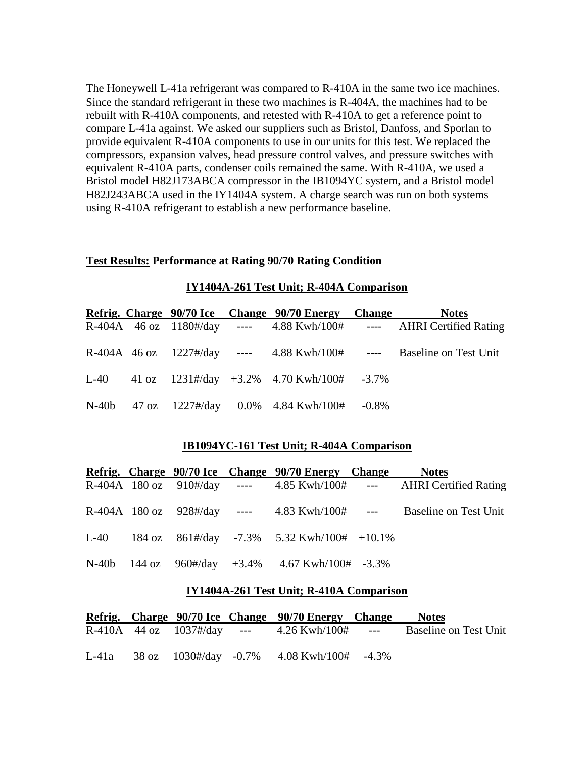The Honeywell L-41a refrigerant was compared to R-410A in the same two ice machines. Since the standard refrigerant in these two machines is R-404A, the machines had to be rebuilt with R-410A components, and retested with R-410A to get a reference point to compare L-41a against. We asked our suppliers such as Bristol, Danfoss, and Sporlan to provide equivalent R-410A components to use in our units for this test. We replaced the compressors, expansion valves, head pressure control valves, and pressure switches with equivalent R-410A parts, condenser coils remained the same. With R-410A, we used a Bristol model H82J173ABCA compressor in the IB1094YC system, and a Bristol model H82J243ABCA used in the IY1404A system. A charge search was run on both systems using R-410A refrigerant to establish a new performance baseline.

#### **Test Results: Performance at Rating 90/70 Rating Condition**

| IY1404A-261 Test Unit; R-404A Comparison |  |  |
|------------------------------------------|--|--|
|                                          |  |  |

|  |  | Refrig. Charge 90/70 Ice Change 90/70 Energy Change      | <b>Notes</b>                                                            |
|--|--|----------------------------------------------------------|-------------------------------------------------------------------------|
|  |  |                                                          | R-404A 46 oz 1180#/day ---- 4.88 Kwh/100# ---- AHRI Certified Rating    |
|  |  |                                                          | R-404A 46 oz $1227$ #/day ---- 4.88 Kwh/100# ---- Baseline on Test Unit |
|  |  | L-40 $41 \text{ oz}$ 1231#/day +3.2% 4.70 Kwh/100# -3.7% |                                                                         |
|  |  | N-40b 47 oz 1227#/day 0.0% 4.84 Kwh/100# -0.8%           |                                                                         |

#### **IB1094YC-161 Test Unit; R-404A Comparison**

|  |  | Refrig. Charge 90/70 Ice Change 90/70 Energy Change                       | <b>Notes</b>                                                        |
|--|--|---------------------------------------------------------------------------|---------------------------------------------------------------------|
|  |  |                                                                           | R-404A 180 oz 910#/day ---- 4.85 Kwh/100# --- AHRI Certified Rating |
|  |  |                                                                           | R-404A 180 oz 928#/day ---- 4.83 Kwh/100# --- Baseline on Test Unit |
|  |  | L-40 184 oz 861#/day -7.3% 5.32 Kwh/100# +10.1%                           |                                                                     |
|  |  | N-40b 144 oz $960\frac{\text{H}}{\text{day}} + 3.4\%$ 4.67 Kwh/100# -3.3% |                                                                     |

#### **IY1404A-261 Test Unit; R-410A Comparison**

|  |  | Refrig. Charge 90/70 Ice Change 90/70 Energy Change       | <b>Notes</b>                                                                      |
|--|--|-----------------------------------------------------------|-----------------------------------------------------------------------------------|
|  |  |                                                           | R-410A $\,$ 44 oz $\,$ 1037#/day --- $\,$ 4.26 Kwh/100# --- Baseline on Test Unit |
|  |  | L-41a $38 \text{ oz}$ 1030#/day -0.7% 4.08 Kwh/100# -4.3% |                                                                                   |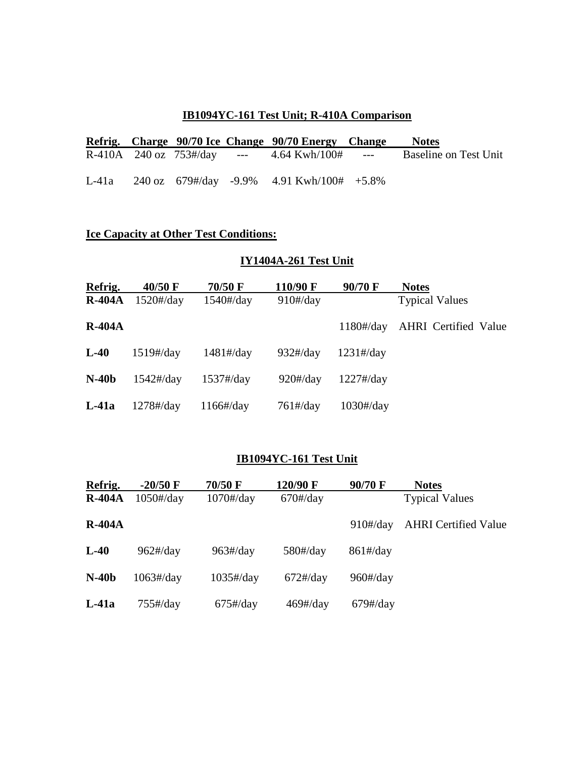### **IB1094YC-161 Test Unit; R-410A Comparison**

|  |  | Refrig. Charge 90/70 Ice Change 90/70 Energy Change       | <b>Notes</b>          |
|--|--|-----------------------------------------------------------|-----------------------|
|  |  | R-410A 240 oz 753#/day --- $4.64$ Kwh/100# ---            | Baseline on Test Unit |
|  |  | L-41a 240 oz $679\frac{H}{day}$ -9.9% 4.91 Kwh/100# +5.8% |                       |

## **Ice Capacity at Other Test Conditions:**

## **IY1404A-261 Test Unit**

| Refrig.  | $40/50 \text{ F}$                 | 70/50 F                           | 110/90 F                         | 90/70 F                           | <b>Notes</b>                |
|----------|-----------------------------------|-----------------------------------|----------------------------------|-----------------------------------|-----------------------------|
| $R-404A$ | $1520\frac{\text{H}}{\text{day}}$ | $1540\frac{\text{H}}{\text{day}}$ | $910\frac{\text{H}}{\text{day}}$ |                                   | <b>Typical Values</b>       |
| $R-404A$ |                                   |                                   |                                  | $1180\frac{\text{H}}{\text{day}}$ | <b>AHRI</b> Certified Value |
| $L-40$   | $1519\frac{\text{H}}{\text{day}}$ | $1481\frac{H}{day}$               | $932\frac{\text{H}}{\text{day}}$ | $1231\frac{H}{day}$               |                             |
| $N-40b$  | $1542\frac{\text{H}}{\text{day}}$ | $1537\frac{H}{day}$               | $920\frac{\text{H}}{\text{day}}$ | $1227\frac{H}{day}$               |                             |
| $L-41a$  | $1278\frac{\text{H}}{\text{day}}$ | $1166\frac{\text{H}}{\text{day}}$ | $761\frac{H}{day}$               | $1030\frac{\text{H}}{\text{day}}$ |                             |

### **IB1094YC-161 Test Unit**

| Refrig.  | $-20/50$ F                        | 70/50 F                           | 120/90 F                         | 90/70 F                          | <b>Notes</b>                |
|----------|-----------------------------------|-----------------------------------|----------------------------------|----------------------------------|-----------------------------|
| $R-404A$ | $1050\frac{\text{H}}{\text{day}}$ | $1070\frac{\text{H}}{\text{day}}$ | $670\frac{\text{H}}{\text{day}}$ |                                  | <b>Typical Values</b>       |
| $R-404A$ |                                   |                                   |                                  | $910\frac{\text{H}}{\text{day}}$ | <b>AHRI</b> Certified Value |
| $L-40$   | $962\frac{\text{H}}{\text{day}}$  | $963\frac{\text{H}}{\text{day}}$  | $580\frac{\text{H}}{\text{day}}$ | $861\frac{H}{day}$               |                             |
| $N-40b$  | $1063\frac{\text{H}}{\text{day}}$ | $1035\frac{\text{H}}{\text{day}}$ | $672\frac{H}{day}$               | $960\frac{\text{H}}{\text{day}}$ |                             |
| $L-41a$  | $755\frac{H}{day}$                | $675\frac{H}{day}$                | $469\frac{H}{day}$               | $679\frac{H}{day}$               |                             |